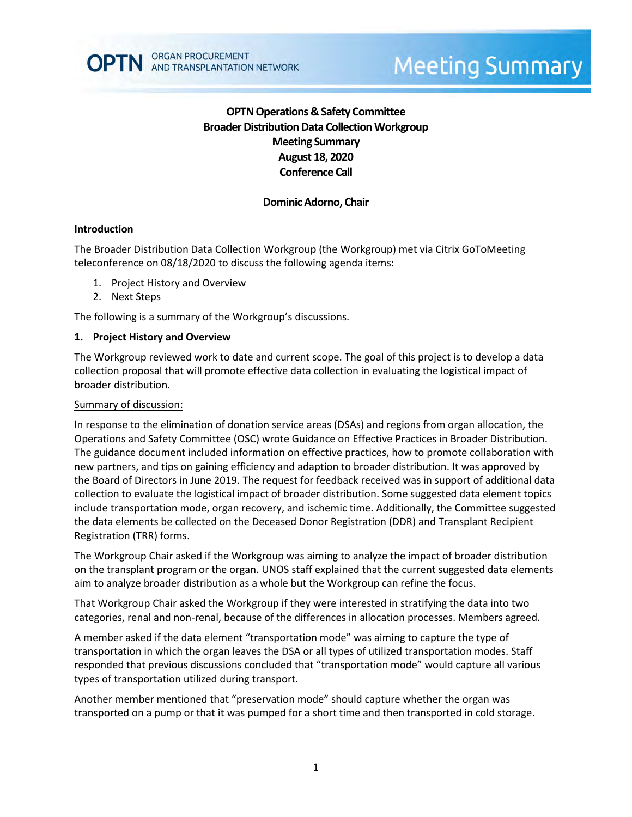

# **OPTN Operations & Safety Committee Broader Distribution Data Collection Workgroup Meeting Summary August 18, 2020 Conference Call**

# **Dominic Adorno, Chair**

## **Introduction**

The Broader Distribution Data Collection Workgroup (the Workgroup) met via Citrix GoToMeeting teleconference on 08/18/2020 to discuss the following agenda items:

- 1. Project History and Overview
- 2. Next Steps

The following is a summary of the Workgroup's discussions.

#### **1. Project History and Overview**

The Workgroup reviewed work to date and current scope. The goal of this project is to develop a data collection proposal that will promote effective data collection in evaluating the logistical impact of broader distribution.

#### Summary of discussion:

In response to the elimination of donation service areas (DSAs) and regions from organ allocation, the Operations and Safety Committee (OSC) wrote Guidance on Effective Practices in Broader Distribution. The guidance document included information on effective practices, how to promote collaboration with new partners, and tips on gaining efficiency and adaption to broader distribution. It was approved by the Board of Directors in June 2019. The request for feedback received was in support of additional data collection to evaluate the logistical impact of broader distribution. Some suggested data element topics include transportation mode, organ recovery, and ischemic time. Additionally, the Committee suggested the data elements be collected on the Deceased Donor Registration (DDR) and Transplant Recipient Registration (TRR) forms.

The Workgroup Chair asked if the Workgroup was aiming to analyze the impact of broader distribution on the transplant program or the organ. UNOS staff explained that the current suggested data elements aim to analyze broader distribution as a whole but the Workgroup can refine the focus.

That Workgroup Chair asked the Workgroup if they were interested in stratifying the data into two categories, renal and non-renal, because of the differences in allocation processes. Members agreed.

A member asked if the data element "transportation mode" was aiming to capture the type of transportation in which the organ leaves the DSA or all types of utilized transportation modes. Staff responded that previous discussions concluded that "transportation mode" would capture all various types of transportation utilized during transport.

Another member mentioned that "preservation mode" should capture whether the organ was transported on a pump or that it was pumped for a short time and then transported in cold storage.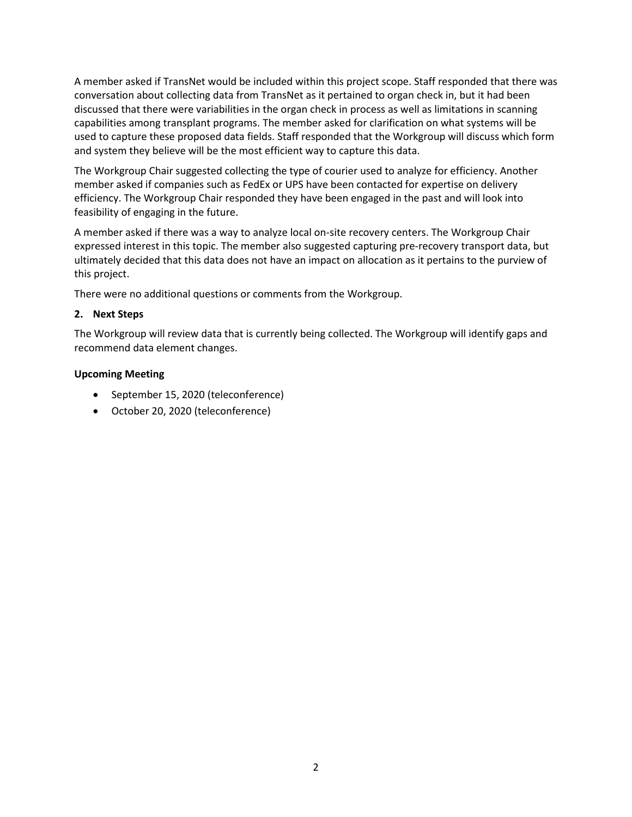A member asked if TransNet would be included within this project scope. Staff responded that there was conversation about collecting data from TransNet as it pertained to organ check in, but it had been discussed that there were variabilities in the organ check in process as well as limitations in scanning capabilities among transplant programs. The member asked for clarification on what systems will be used to capture these proposed data fields. Staff responded that the Workgroup will discuss which form and system they believe will be the most efficient way to capture this data.

The Workgroup Chair suggested collecting the type of courier used to analyze for efficiency. Another member asked if companies such as FedEx or UPS have been contacted for expertise on delivery efficiency. The Workgroup Chair responded they have been engaged in the past and will look into feasibility of engaging in the future.

A member asked if there was a way to analyze local on-site recovery centers. The Workgroup Chair expressed interest in this topic. The member also suggested capturing pre-recovery transport data, but ultimately decided that this data does not have an impact on allocation as it pertains to the purview of this project.

There were no additional questions or comments from the Workgroup.

## **2. Next Steps**

The Workgroup will review data that is currently being collected. The Workgroup will identify gaps and recommend data element changes.

## **Upcoming Meeting**

- September 15, 2020 (teleconference)
- October 20, 2020 (teleconference)